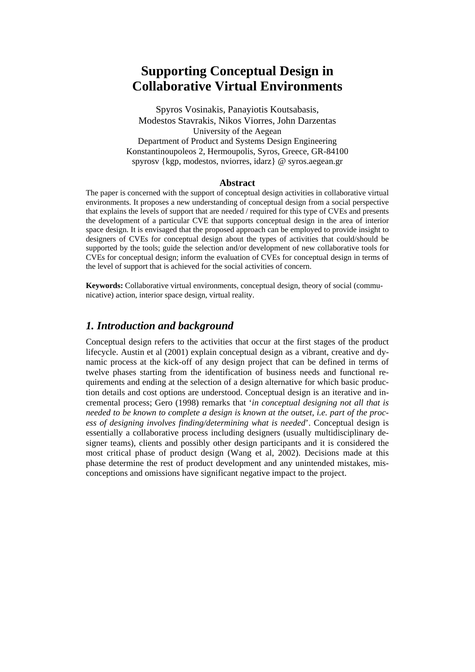# **Supporting Conceptual Design in Collaborative Virtual Environments**

Spyros Vosinakis, Panayiotis Koutsabasis, Modestos Stavrakis, Nikos Viorres, John Darzentas University of the Aegean Department of Product and Systems Design Engineering Konstantinoupoleos 2, Hermoupolis, Syros, Greece, GR-84100 spyrosv {kgp, modestos, nviorres, idarz} @ syros.aegean.gr

#### **Abstract**

The paper is concerned with the support of conceptual design activities in collaborative virtual environments. It proposes a new understanding of conceptual design from a social perspective that explains the levels of support that are needed / required for this type of CVEs and presents the development of a particular CVE that supports conceptual design in the area of interior space design. It is envisaged that the proposed approach can be employed to provide insight to designers of CVEs for conceptual design about the types of activities that could/should be supported by the tools; guide the selection and/or development of new collaborative tools for CVEs for conceptual design; inform the evaluation of CVEs for conceptual design in terms of the level of support that is achieved for the social activities of concern.

**Keywords:** Collaborative virtual environments, conceptual design, theory of social (communicative) action, interior space design, virtual reality.

## *1. Introduction and background*

Conceptual design refers to the activities that occur at the first stages of the product lifecycle. Austin et al (2001) explain conceptual design as a vibrant, creative and dynamic process at the kick-off of any design project that can be defined in terms of twelve phases starting from the identification of business needs and functional requirements and ending at the selection of a design alternative for which basic production details and cost options are understood. Conceptual design is an iterative and incremental process; Gero (1998) remarks that '*in conceptual designing not all that is needed to be known to complete a design is known at the outset, i.e. part of the process of designing involves finding/determining what is needed*'. Conceptual design is essentially a collaborative process including designers (usually multidisciplinary designer teams), clients and possibly other design participants and it is considered the most critical phase of product design (Wang et al, 2002). Decisions made at this phase determine the rest of product development and any unintended mistakes, misconceptions and omissions have significant negative impact to the project.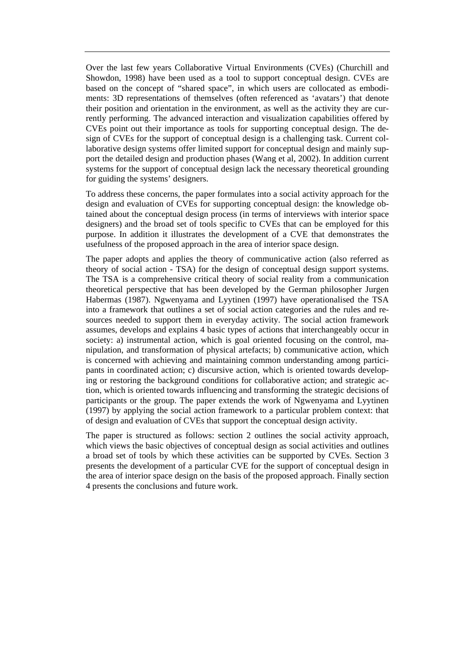Over the last few years Collaborative Virtual Environments (CVEs) (Churchill and Showdon, 1998) have been used as a tool to support conceptual design. CVEs are based on the concept of "shared space", in which users are collocated as embodiments: 3D representations of themselves (often referenced as 'avatars') that denote their position and orientation in the environment, as well as the activity they are currently performing. The advanced interaction and visualization capabilities offered by CVEs point out their importance as tools for supporting conceptual design. The design of CVEs for the support of conceptual design is a challenging task. Current collaborative design systems offer limited support for conceptual design and mainly support the detailed design and production phases (Wang et al, 2002). In addition current systems for the support of conceptual design lack the necessary theoretical grounding for guiding the systems' designers.

To address these concerns, the paper formulates into a social activity approach for the design and evaluation of CVEs for supporting conceptual design: the knowledge obtained about the conceptual design process (in terms of interviews with interior space designers) and the broad set of tools specific to CVEs that can be employed for this purpose. In addition it illustrates the development of a CVE that demonstrates the usefulness of the proposed approach in the area of interior space design.

The paper adopts and applies the theory of communicative action (also referred as theory of social action - TSA) for the design of conceptual design support systems. The TSA is a comprehensive critical theory of social reality from a communication theoretical perspective that has been developed by the German philosopher Jurgen Habermas (1987). Ngwenyama and Lyytinen (1997) have operationalised the TSA into a framework that outlines a set of social action categories and the rules and resources needed to support them in everyday activity. The social action framework assumes, develops and explains 4 basic types of actions that interchangeably occur in society: a) instrumental action, which is goal oriented focusing on the control, manipulation, and transformation of physical artefacts; b) communicative action, which is concerned with achieving and maintaining common understanding among participants in coordinated action; c) discursive action, which is oriented towards developing or restoring the background conditions for collaborative action; and strategic action, which is oriented towards influencing and transforming the strategic decisions of participants or the group. The paper extends the work of Ngwenyama and Lyytinen (1997) by applying the social action framework to a particular problem context: that of design and evaluation of CVEs that support the conceptual design activity.

The paper is structured as follows: section 2 outlines the social activity approach, which views the basic objectives of conceptual design as social activities and outlines a broad set of tools by which these activities can be supported by CVEs. Section 3 presents the development of a particular CVE for the support of conceptual design in the area of interior space design on the basis of the proposed approach. Finally section 4 presents the conclusions and future work.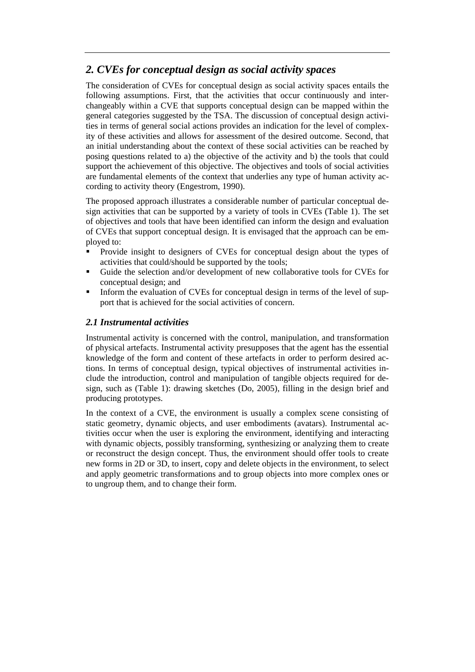# *2. CVEs for conceptual design as social activity spaces*

The consideration of CVEs for conceptual design as social activity spaces entails the following assumptions. First, that the activities that occur continuously and interchangeably within a CVE that supports conceptual design can be mapped within the general categories suggested by the TSA. The discussion of conceptual design activities in terms of general social actions provides an indication for the level of complexity of these activities and allows for assessment of the desired outcome. Second, that an initial understanding about the context of these social activities can be reached by posing questions related to a) the objective of the activity and b) the tools that could support the achievement of this objective. The objectives and tools of social activities are fundamental elements of the context that underlies any type of human activity according to activity theory (Engestrom, 1990).

The proposed approach illustrates a considerable number of particular conceptual design activities that can be supported by a variety of tools in CVEs (Table 1). The set of objectives and tools that have been identified can inform the design and evaluation of CVEs that support conceptual design. It is envisaged that the approach can be employed to:

- Provide insight to designers of CVEs for conceptual design about the types of activities that could/should be supported by the tools;
- Guide the selection and/or development of new collaborative tools for CVEs for conceptual design; and
- Inform the evaluation of CVEs for conceptual design in terms of the level of support that is achieved for the social activities of concern.

## *2.1 Instrumental activities*

Instrumental activity is concerned with the control, manipulation, and transformation of physical artefacts. Instrumental activity presupposes that the agent has the essential knowledge of the form and content of these artefacts in order to perform desired actions. In terms of conceptual design, typical objectives of instrumental activities include the introduction, control and manipulation of tangible objects required for design, such as (Table 1): drawing sketches (Do, 2005), filling in the design brief and producing prototypes.

In the context of a CVE, the environment is usually a complex scene consisting of static geometry, dynamic objects, and user embodiments (avatars). Instrumental activities occur when the user is exploring the environment, identifying and interacting with dynamic objects, possibly transforming, synthesizing or analyzing them to create or reconstruct the design concept. Thus, the environment should offer tools to create new forms in 2D or 3D, to insert, copy and delete objects in the environment, to select and apply geometric transformations and to group objects into more complex ones or to ungroup them, and to change their form.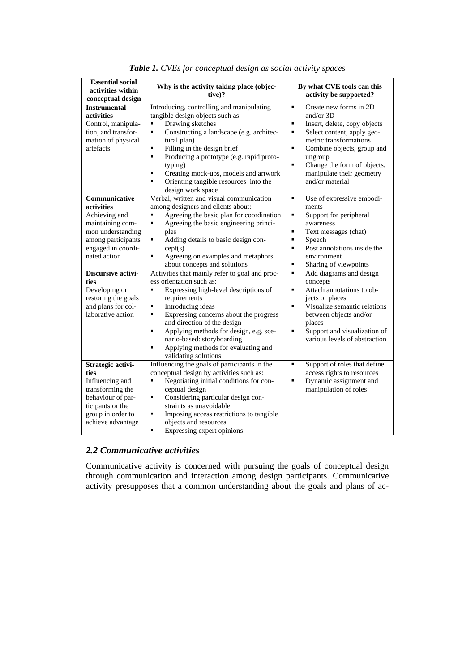| <b>Essential social</b><br>activities within<br>conceptual design                                                                                   | Why is the activity taking place (objec-<br>tive)?                                                                                                                                                                                                                                                                                                                                                             | By what CVE tools can this<br>activity be supported?                                                                                                                                                                                                                                                     |
|-----------------------------------------------------------------------------------------------------------------------------------------------------|----------------------------------------------------------------------------------------------------------------------------------------------------------------------------------------------------------------------------------------------------------------------------------------------------------------------------------------------------------------------------------------------------------------|----------------------------------------------------------------------------------------------------------------------------------------------------------------------------------------------------------------------------------------------------------------------------------------------------------|
| <b>Instrumental</b><br>activities<br>Control, manipula-<br>tion, and transfor-<br>mation of physical<br>artefacts                                   | Introducing, controlling and manipulating<br>tangible design objects such as:<br>Drawing sketches<br>٠<br>Constructing a landscape (e.g. architec-<br>tural plan)<br>Filling in the design brief<br>$\blacksquare$<br>Producing a prototype (e.g. rapid proto-<br>$\blacksquare$<br>typing)<br>Creating mock-ups, models and artwork<br>٠<br>Orienting tangible resources into the<br>٠<br>design work space   | Create new forms in 2D<br>$\blacksquare$<br>and/or $3D$<br>Insert, delete, copy objects<br>٠<br>٠<br>Select content, apply geo-<br>metric transformations<br>$\blacksquare$<br>Combine objects, group and<br>ungroup<br>Change the form of objects,<br>٠<br>manipulate their geometry<br>and/or material |
| Communicative<br>activities<br>Achieving and<br>maintaining com-<br>mon understanding<br>among participants<br>engaged in coordi-<br>nated action   | Verbal, written and visual communication<br>among designers and clients about:<br>Agreeing the basic plan for coordination<br>٠<br>Agreeing the basic engineering princi-<br>٠<br>ples<br>Adding details to basic design con-<br>٠<br>cept(s)<br>Agreeing on examples and metaphors<br>٠<br>about concepts and solutions                                                                                       | Use of expressive embodi-<br>٠<br>ments<br>Support for peripheral<br>٠<br>awareness<br>٠<br>Text messages (chat)<br>$\blacksquare$<br>Speech<br>$\blacksquare$<br>Post annotations inside the<br>environment<br>٠<br>Sharing of viewpoints                                                               |
| Discursive activi-<br>ties<br>Developing or<br>restoring the goals<br>and plans for col-<br>laborative action                                       | Activities that mainly refer to goal and proc-<br>ess orientation such as:<br>Expressing high-level descriptions of<br>٠<br>requirements<br>Introducing ideas<br>П<br>٠<br>Expressing concerns about the progress<br>and direction of the design<br>Applying methods for design, e.g. sce-<br>$\blacksquare$<br>nario-based: storyboarding<br>Applying methods for evaluating and<br>٠<br>validating solutions | ٠<br>Add diagrams and design<br>concepts<br>Attach annotations to ob-<br>٠<br>jects or places<br>Visualize semantic relations<br>$\blacksquare$<br>between objects and/or<br>places<br>Support and visualization of<br>٠<br>various levels of abstraction                                                |
| Strategic activi-<br>ties<br>Influencing and<br>transforming the<br>behaviour of par-<br>ticipants or the<br>group in order to<br>achieve advantage | Influencing the goals of participants in the<br>conceptual design by activities such as:<br>٠<br>Negotiating initial conditions for con-<br>ceptual design<br>Considering particular design con-<br>٠<br>straints as unavoidable<br>Imposing access restrictions to tangible<br>٠<br>objects and resources<br>Expressing expert opinions<br>$\blacksquare$                                                     | ٠<br>Support of roles that define<br>access rights to resources<br>Dynamic assignment and<br>٠<br>manipulation of roles                                                                                                                                                                                  |

*Table 1. CVEs for conceptual design as social activity spaces* 

#### *2.2 Communicative activities*

Communicative activity is concerned with pursuing the goals of conceptual design through communication and interaction among design participants. Communicative activity presupposes that a common understanding about the goals and plans of ac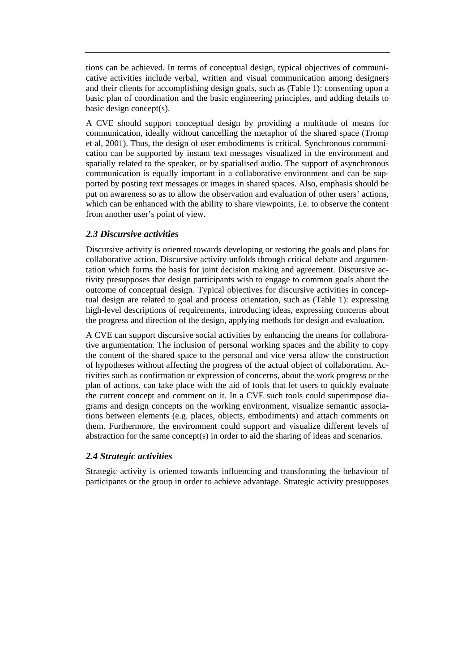tions can be achieved. In terms of conceptual design, typical objectives of communicative activities include verbal, written and visual communication among designers and their clients for accomplishing design goals, such as (Table 1): consenting upon a basic plan of coordination and the basic engineering principles, and adding details to basic design concept(s).

A CVE should support conceptual design by providing a multitude of means for communication, ideally without cancelling the metaphor of the shared space (Tromp et al, 2001). Thus, the design of user embodiments is critical. Synchronous communication can be supported by instant text messages visualized in the environment and spatially related to the speaker, or by spatialised audio. The support of asynchronous communication is equally important in a collaborative environment and can be supported by posting text messages or images in shared spaces. Also, emphasis should be put on awareness so as to allow the observation and evaluation of other users' actions, which can be enhanced with the ability to share viewpoints, i.e. to observe the content from another user's point of view.

#### *2.3 Discursive activities*

Discursive activity is oriented towards developing or restoring the goals and plans for collaborative action. Discursive activity unfolds through critical debate and argumentation which forms the basis for joint decision making and agreement. Discursive activity presupposes that design participants wish to engage to common goals about the outcome of conceptual design. Typical objectives for discursive activities in conceptual design are related to goal and process orientation, such as (Table 1): expressing high-level descriptions of requirements, introducing ideas, expressing concerns about the progress and direction of the design, applying methods for design and evaluation.

A CVE can support discursive social activities by enhancing the means for collaborative argumentation. The inclusion of personal working spaces and the ability to copy the content of the shared space to the personal and vice versa allow the construction of hypotheses without affecting the progress of the actual object of collaboration. Activities such as confirmation or expression of concerns, about the work progress or the plan of actions, can take place with the aid of tools that let users to quickly evaluate the current concept and comment on it. In a CVE such tools could superimpose diagrams and design concepts on the working environment, visualize semantic associations between elements (e.g. places, objects, embodiments) and attach comments on them. Furthermore, the environment could support and visualize different levels of abstraction for the same concept(s) in order to aid the sharing of ideas and scenarios.

## *2.4 Strategic activities*

Strategic activity is oriented towards influencing and transforming the behaviour of participants or the group in order to achieve advantage. Strategic activity presupposes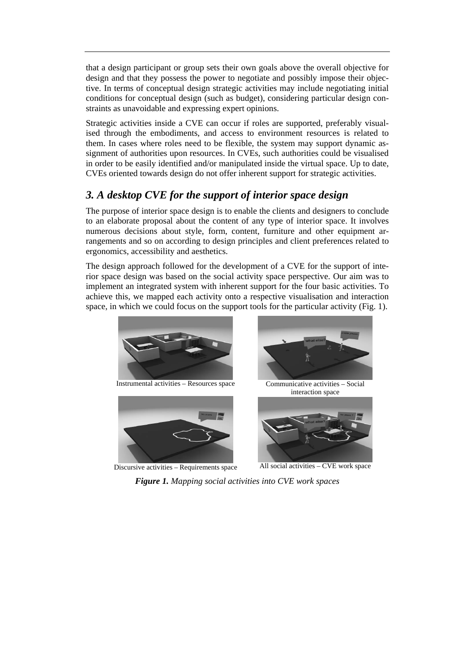that a design participant or group sets their own goals above the overall objective for design and that they possess the power to negotiate and possibly impose their objective. In terms of conceptual design strategic activities may include negotiating initial conditions for conceptual design (such as budget), considering particular design constraints as unavoidable and expressing expert opinions.

Strategic activities inside a CVE can occur if roles are supported, preferably visualised through the embodiments, and access to environment resources is related to them. In cases where roles need to be flexible, the system may support dynamic assignment of authorities upon resources. In CVEs, such authorities could be visualised in order to be easily identified and/or manipulated inside the virtual space. Up to date, CVEs oriented towards design do not offer inherent support for strategic activities.

# *3. A desktop CVE for the support of interior space design*

The purpose of interior space design is to enable the clients and designers to conclude to an elaborate proposal about the content of any type of interior space. It involves numerous decisions about style, form, content, furniture and other equipment arrangements and so on according to design principles and client preferences related to ergonomics, accessibility and aesthetics.

The design approach followed for the development of a CVE for the support of interior space design was based on the social activity space perspective. Our aim was to implement an integrated system with inherent support for the four basic activities. To achieve this, we mapped each activity onto a respective visualisation and interaction space, in which we could focus on the support tools for the particular activity (Fig. 1).







Discursive activities – Requirements space All social activities – CVE work space

*Figure 1. Mapping social activities into CVE work spaces*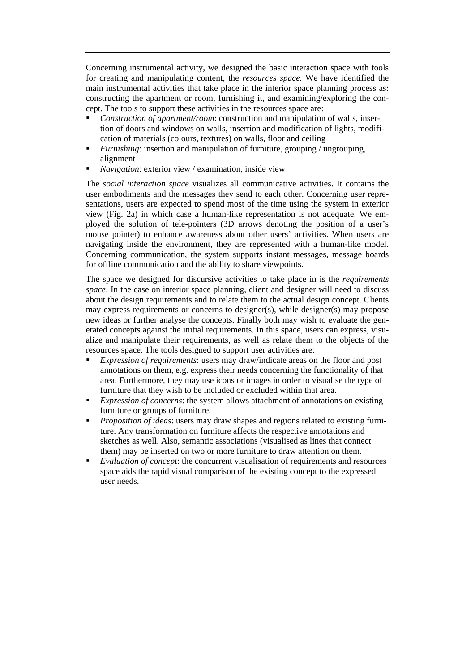Concerning instrumental activity, we designed the basic interaction space with tools for creating and manipulating content, the *resources space.* We have identified the main instrumental activities that take place in the interior space planning process as: constructing the apartment or room, furnishing it, and examining/exploring the concept. The tools to support these activities in the resources space are:

- *Construction of apartment/room*: construction and manipulation of walls, insertion of doors and windows on walls, insertion and modification of lights, modification of materials (colours, textures) on walls, floor and ceiling
- *Furnishing*: insertion and manipulation of furniture, grouping / ungrouping, alignment
- *Navigation*: exterior view / examination, inside view

The *social interaction space* visualizes all communicative activities. It contains the user embodiments and the messages they send to each other. Concerning user representations, users are expected to spend most of the time using the system in exterior view (Fig. 2a) in which case a human-like representation is not adequate. We employed the solution of tele-pointers (3D arrows denoting the position of a user's mouse pointer) to enhance awareness about other users' activities. When users are navigating inside the environment, they are represented with a human-like model. Concerning communication, the system supports instant messages, message boards for offline communication and the ability to share viewpoints.

The space we designed for discursive activities to take place in is the *requirements space*. In the case on interior space planning, client and designer will need to discuss about the design requirements and to relate them to the actual design concept. Clients may express requirements or concerns to designer(s), while designer(s) may propose new ideas or further analyse the concepts. Finally both may wish to evaluate the generated concepts against the initial requirements. In this space, users can express, visualize and manipulate their requirements, as well as relate them to the objects of the resources space. The tools designed to support user activities are:

- *Expression of requirements*: users may draw/indicate areas on the floor and post annotations on them, e.g. express their needs concerning the functionality of that area. Furthermore, they may use icons or images in order to visualise the type of furniture that they wish to be included or excluded within that area.
- *Expression of concerns*: the system allows attachment of annotations on existing furniture or groups of furniture.
- *Proposition of ideas*: users may draw shapes and regions related to existing furniture. Any transformation on furniture affects the respective annotations and sketches as well. Also, semantic associations (visualised as lines that connect them) may be inserted on two or more furniture to draw attention on them.
- *Evaluation of concept*: the concurrent visualisation of requirements and resources space aids the rapid visual comparison of the existing concept to the expressed user needs.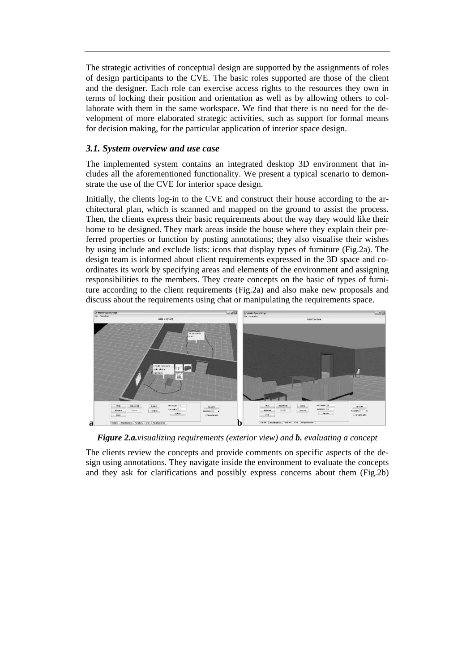The strategic activities of conceptual design are supported by the assignments of roles of design participants to the CVE. The basic roles supported are those of the client and the designer. Each role can exercise access rights to the resources they own in terms of locking their position and orientation as well as by allowing others to collaborate with them in the same workspace. We find that there is no need for the development of more elaborated strategic activities, such as support for formal means for decision making, for the particular application of interior space design.

#### *3.1. System overview and use case*

The implemented system contains an integrated desktop 3D environment that includes all the aforementioned functionality. We present a typical scenario to demonstrate the use of the CVE for interior space design.

Initially, the clients log-in to the CVE and construct their house according to the architectural plan, which is scanned and mapped on the ground to assist the process. Then, the clients express their basic requirements about the way they would like their home to be designed. They mark areas inside the house where they explain their preferred properties or function by posting annotations; they also visualise their wishes by using include and exclude lists: icons that display types of furniture (Fig.2a). The design team is informed about client requirements expressed in the 3D space and coordinates its work by specifying areas and elements of the environment and assigning responsibilities to the members. They create concepts on the basic of types of furniture according to the client requirements (Fig.2a) and also make new proposals and discuss about the requirements using chat or manipulating the requirements space.



*Figure 2.a.visualizing requirements (exterior view) and b. evaluating a concept* 

The clients review the concepts and provide comments on specific aspects of the design using annotations. They navigate inside the environment to evaluate the concepts and they ask for clarifications and possibly express concerns about them (Fig.2b)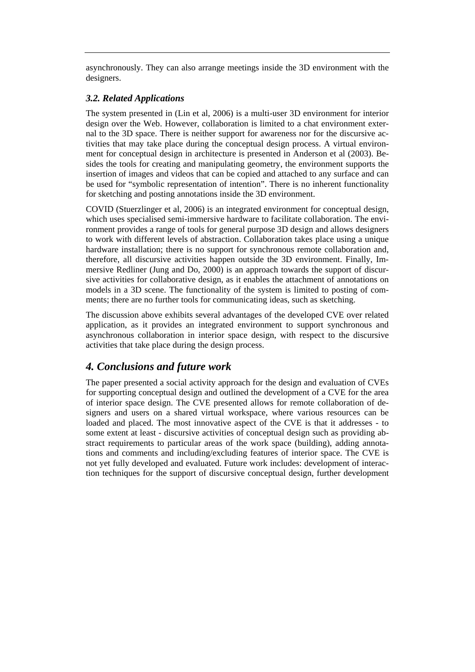asynchronously. They can also arrange meetings inside the 3D environment with the designers.

#### *3.2. Related Applications*

The system presented in (Lin et al, 2006) is a multi-user 3D environment for interior design over the Web. However, collaboration is limited to a chat environment external to the 3D space. There is neither support for awareness nor for the discursive activities that may take place during the conceptual design process. A virtual environment for conceptual design in architecture is presented in Anderson et al (2003). Besides the tools for creating and manipulating geometry, the environment supports the insertion of images and videos that can be copied and attached to any surface and can be used for "symbolic representation of intention". There is no inherent functionality for sketching and posting annotations inside the 3D environment.

COVID (Stuerzlinger et al, 2006) is an integrated environment for conceptual design, which uses specialised semi-immersive hardware to facilitate collaboration. The environment provides a range of tools for general purpose 3D design and allows designers to work with different levels of abstraction. Collaboration takes place using a unique hardware installation; there is no support for synchronous remote collaboration and, therefore, all discursive activities happen outside the 3D environment. Finally, Immersive Redliner (Jung and Do, 2000) is an approach towards the support of discursive activities for collaborative design, as it enables the attachment of annotations on models in a 3D scene. The functionality of the system is limited to posting of comments; there are no further tools for communicating ideas, such as sketching.

The discussion above exhibits several advantages of the developed CVE over related application, as it provides an integrated environment to support synchronous and asynchronous collaboration in interior space design, with respect to the discursive activities that take place during the design process.

# *4. Conclusions and future work*

The paper presented a social activity approach for the design and evaluation of CVEs for supporting conceptual design and outlined the development of a CVE for the area of interior space design. The CVE presented allows for remote collaboration of designers and users on a shared virtual workspace, where various resources can be loaded and placed. The most innovative aspect of the CVE is that it addresses - to some extent at least - discursive activities of conceptual design such as providing abstract requirements to particular areas of the work space (building), adding annotations and comments and including/excluding features of interior space. The CVE is not yet fully developed and evaluated. Future work includes: development of interaction techniques for the support of discursive conceptual design, further development